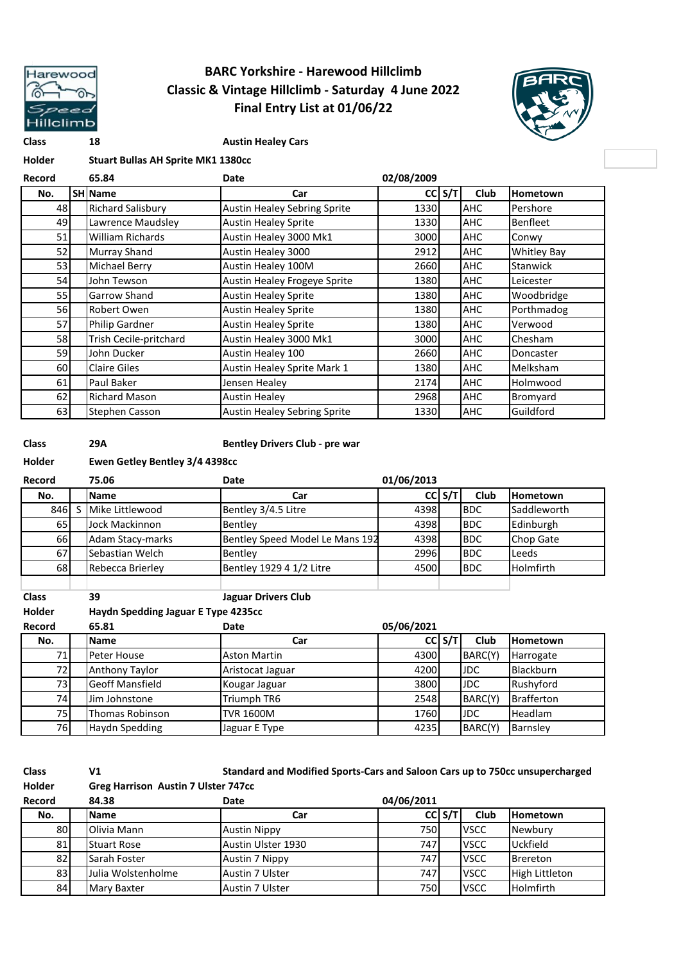

## **BARC Yorkshire - Harewood Hillclimb Classic & Vintage Hillclimb - Saturday 4 June 2022 Final Entry List at 01/06/22**



**Class 18 Austin Healey Cars**

| Holder | <b>Stuart Bullas AH Sprite MK1 1380cc</b> |  |  |
|--------|-------------------------------------------|--|--|
|        |                                           |  |  |

| Record | 65.84                    | Date                                | 02/08/2009 |     |             |                    |
|--------|--------------------------|-------------------------------------|------------|-----|-------------|--------------------|
| No.    | <b>SH Name</b>           | Car                                 | <b>CC</b>  | S/T | <b>Club</b> | Hometown           |
| 48     | <b>Richard Salisbury</b> | <b>Austin Healey Sebring Sprite</b> | 1330       |     | AHC         | Pershore           |
| 49     | Lawrence Maudsley        | <b>Austin Healey Sprite</b>         | 1330       |     | <b>AHC</b>  | Benfleet           |
| 51     | William Richards         | Austin Healey 3000 Mk1              | 3000       |     | <b>AHC</b>  | Conwy              |
| 52     | <b>Murray Shand</b>      | Austin Healey 3000                  | 2912       |     | <b>AHC</b>  | <b>Whitley Bay</b> |
| 53     | Michael Berry            | Austin Healey 100M                  | 2660       |     | <b>AHC</b>  | Stanwick           |
| 54     | John Tewson              | Austin Healey Frogeye Sprite        | 1380       |     | <b>AHC</b>  | Leicester          |
| 55     | Garrow Shand             | <b>Austin Healey Sprite</b>         | 1380       |     | <b>AHC</b>  | Woodbridge         |
| 56     | Robert Owen              | <b>Austin Healey Sprite</b>         | 1380       |     | AHC         | Porthmadog         |
| 57     | Philip Gardner           | <b>Austin Healey Sprite</b>         | 1380       |     | AHC         | Verwood            |
| 58     | Trish Cecile-pritchard   | Austin Healey 3000 Mk1              | 3000       |     | <b>AHC</b>  | Chesham            |
| 59     | John Ducker              | Austin Healey 100                   | 2660       |     | <b>AHC</b>  | Doncaster          |
| 60     | <b>Claire Giles</b>      | Austin Healey Sprite Mark 1         | 1380       |     | <b>AHC</b>  | Melksham           |
| 61     | Paul Baker               | Jensen Healey                       | 2174       |     | AHC         | Holmwood           |
| 62     | <b>Richard Mason</b>     | <b>Austin Healey</b>                | 2968       |     | <b>AHC</b>  | Bromyard           |
| 63     | Stephen Casson           | <b>Austin Healey Sebring Sprite</b> | 1330       |     | AHC         | Guildford          |

F

**Class 29A Bentley Drivers Club - pre war**

#### **Holder Ewen Getley Bentley 3/4 4398cc**

| Record          |    | 75.06                               | Date                            | 01/06/2013 |            |            |                   |
|-----------------|----|-------------------------------------|---------------------------------|------------|------------|------------|-------------------|
| No.             |    | <b>Name</b>                         | Car                             |            | $CC$ S/T   | Club       | Hometown          |
| 846             | S. | Mike Littlewood                     | Bentley 3/4.5 Litre             | 4398       |            | <b>BDC</b> | Saddleworth       |
| 65              |    | Jock Mackinnon                      | Bentley                         | 4398       |            | <b>BDC</b> | Edinburgh         |
| 66 <sup>I</sup> |    | Adam Stacy-marks                    | Bentley Speed Model Le Mans 192 | 4398       |            | <b>BDC</b> | Chop Gate         |
| 67              |    | Sebastian Welch                     | Bentley                         | 2996       |            | <b>BDC</b> | Leeds             |
| 68              |    | Rebecca Brierley                    | Bentley 1929 4 1/2 Litre        | 4500       |            | <b>BDC</b> | Holmfirth         |
|                 |    |                                     |                                 |            |            |            |                   |
| <b>Class</b>    |    | 39                                  | <b>Jaguar Drivers Club</b>      |            |            |            |                   |
| <b>Holder</b>   |    | Haydn Spedding Jaguar E Type 4235cc |                                 |            |            |            |                   |
| Record          |    | 65.81                               | Date                            | 05/06/2021 |            |            |                   |
| No.             |    | <b>Name</b>                         | Car                             |            | $CC$ $S/T$ | Club       | Hometown          |
| 71              |    | Peter House                         | <b>Aston Martin</b>             | 4300       |            | BARC(Y)    | Harrogate         |
| 72              |    | Anthony Taylor                      | Aristocat Jaguar                | 4200       |            | <b>JDC</b> | <b>Blackburn</b>  |
| 73              |    | <b>Geoff Mansfield</b>              | Kougar Jaguar                   | 3800       |            | <b>JDC</b> | Rushyford         |
| 74              |    | Jim Johnstone                       | Triumph TR6                     | 2548       |            | BARC(Y)    | <b>Brafferton</b> |

| 75 <sub>1</sub> | <b>Thomas Robinson</b>                     | <b>TVR 1600M</b>                                                             | 1760       |              | <b>IJDC</b>        | <b>Headlam</b> |
|-----------------|--------------------------------------------|------------------------------------------------------------------------------|------------|--------------|--------------------|----------------|
| 76              | Haydn Spedding                             | Jaguar E Type                                                                | 4235       |              | BARC(Y)            | Barnsley       |
|                 |                                            |                                                                              |            |              |                    |                |
| <b>Class</b>    | V1                                         | Standard and Modified Sports-Cars and Saloon Cars up to 750cc unsupercharged |            |              |                    |                |
| <b>Holder</b>   | <b>Greg Harrison Austin 7 Ulster 747cc</b> |                                                                              |            |              |                    |                |
| Record          | 84.38                                      | Date                                                                         | 04/06/2011 |              |                    |                |
| N <sub>o</sub>  | l Name                                     | Car                                                                          |            | $cr s/\tau $ | C <sub>111</sub> h | Hometown       |

| No. | <b>Name</b>        | Car                    |      | C S/T | Club        | <b>Hometown</b>       |
|-----|--------------------|------------------------|------|-------|-------------|-----------------------|
| 80  | Olivia Mann        | <b>Austin Nippy</b>    | 750  |       | <b>VSCC</b> | Newbury               |
| 81  | <b>Stuart Rose</b> | Austin Ulster 1930     | 747  |       | <b>VSCC</b> | Uckfield              |
| 82  | Sarah Foster       | <b>Austin 7 Nippy</b>  | 747  |       | <b>VSCC</b> | <b>Brereton</b>       |
| 83  | Julia Wolstenholme | <b>Austin 7 Ulster</b> | 747  |       | <b>VSCC</b> | <b>High Littleton</b> |
| 84  | Mary Baxter        | <b>Austin 7 Ulster</b> | 750l |       | <b>VSCC</b> | <b>Holmfirth</b>      |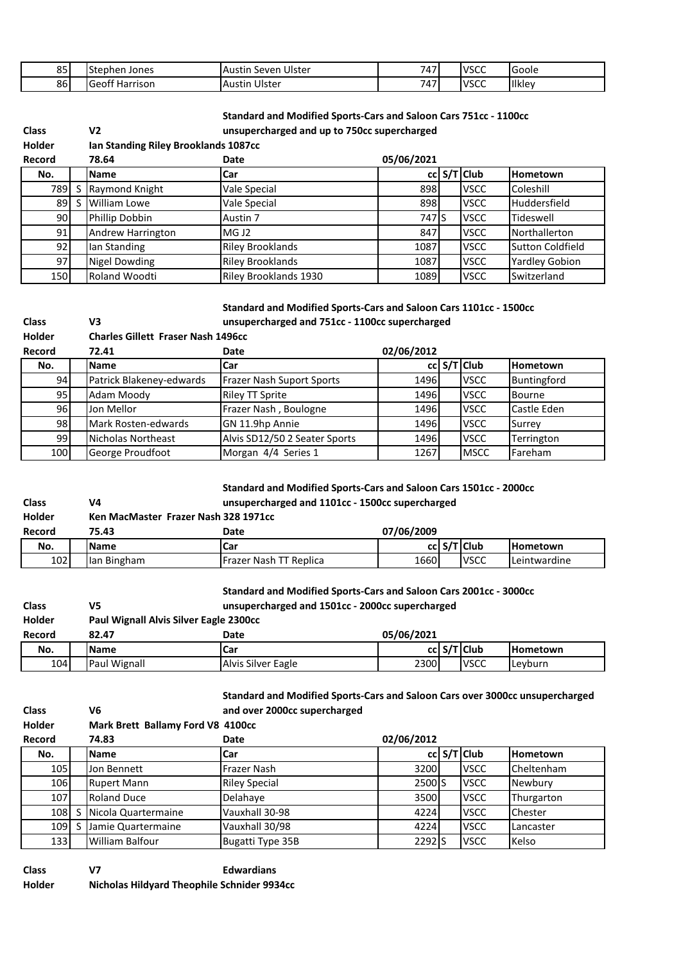| 85 | lStephen Jones        | Ulster<br><b>Austin</b><br>Seven | 747              | <b>VSCC</b> | <b>Goole</b>  |
|----|-----------------------|----------------------------------|------------------|-------------|---------------|
| 86 | <b>Geoff Harrison</b> | Ulster<br>Austin                 | 747<br><u>т,</u> | <b>VSCC</b> | <b>Ilkley</b> |

### **Standard and Modified Sports-Cars and Saloon Cars 751cc - 1100cc**

**unsupercharged and up to 750cc supercharged**

| Holder |   | Ian Standing Riley Brooklands 1087cc |                         |            |  |             |                       |  |
|--------|---|--------------------------------------|-------------------------|------------|--|-------------|-----------------------|--|
| Record |   | 78.64                                | Date                    | 05/06/2021 |  |             |                       |  |
| No.    |   | <b>Name</b>                          | Car                     |            |  | cc S/T Club | Hometown              |  |
| 789    |   | S Raymond Knight                     | Vale Special            | 898        |  | <b>VSCC</b> | Coleshill             |  |
| 89 l   | S | William Lowe                         | Vale Special            | 898        |  | <b>VSCC</b> | Huddersfield          |  |
| 90I    |   | Phillip Dobbin                       | Austin 7                | 747 S      |  | <b>VSCC</b> | Tideswell             |  |
| 91     |   | Andrew Harrington                    | MG J <sub>2</sub>       | 847        |  | <b>VSCC</b> | Northallerton         |  |
| 92     |   | lan Standing                         | <b>Riley Brooklands</b> | 1087       |  | <b>VSCC</b> | Sutton Coldfield      |  |
| 97     |   | Nigel Dowding                        | <b>Riley Brooklands</b> | 1087       |  | <b>VSCC</b> | <b>Yardley Gobion</b> |  |
| 150    |   | Roland Woodti                        | Riley Brooklands 1930   | 1089       |  | <b>VSCC</b> | Switzerland           |  |

# **Standard and Modified Sports-Cars and Saloon Cars 1101cc - 1500cc**

| <b>Class</b>  | V3                                        | unsupercharged and 751cc - 1100cc supercharged |            |  |             |                 |
|---------------|-------------------------------------------|------------------------------------------------|------------|--|-------------|-----------------|
| <b>Holder</b> | <b>Charles Gillett Fraser Nash 1496cc</b> |                                                |            |  |             |                 |
| Record        | 72.41                                     | Date                                           | 02/06/2012 |  |             |                 |
| No.           | <b>Name</b>                               | Car                                            |            |  | cc S/T Club | <b>Hometown</b> |
| 94            | Patrick Blakeney-edwards                  | <b>Frazer Nash Suport Sports</b>               | 1496       |  | <b>VSCC</b> | Buntingford     |
| 95            | Adam Moody                                | <b>Riley TT Sprite</b>                         | 1496       |  | <b>VSCC</b> | <b>Bourne</b>   |
| 96            | Jon Mellor                                | Frazer Nash, Boulogne                          | 1496       |  | <b>VSCC</b> | Castle Eden     |
| 98            | Mark Rosten-edwards                       | GN 11.9hp Annie                                | 1496       |  | <b>VSCC</b> | Surrey          |
| 99            | Nicholas Northeast                        | Alvis SD12/50 2 Seater Sports                  | 1496       |  | <b>VSCC</b> | Terrington      |
| 100           | George Proudfoot                          | Morgan 4/4 Series 1                            | 1267       |  | <b>MSCC</b> | Fareham         |

#### **Standard and Modified Sports-Cars and Saloon Cars 1501cc - 2000cc unsupercharged and 1101cc - 1500cc supercharged**

| <b>Class</b>  | V4                                   |                        | unsupercharged and 1101cc - 1500cc supercharged |  |  |  |  |  |  |
|---------------|--------------------------------------|------------------------|-------------------------------------------------|--|--|--|--|--|--|
| <b>Holder</b> | Ken MacMaster Frazer Nash 328 1971cc |                        |                                                 |  |  |  |  |  |  |
| Record        | 75.43                                | Date                   | 07/06/2009                                      |  |  |  |  |  |  |
| No.           | <b>Name</b>                          | Car                    | cc S/T Club<br><b>Hometown</b>                  |  |  |  |  |  |  |
| 102           | lan Bingham                          | Frazer Nash TT Replica | 1660<br><b>VSCC</b><br>Leintwardine             |  |  |  |  |  |  |

#### **Standard and Modified Sports-Cars and Saloon Cars 2001cc - 3000cc**

| <b>Class</b>  | V5                                     | unsupercharged and 1501cc - 2000cc supercharged |            |  |             |                 |
|---------------|----------------------------------------|-------------------------------------------------|------------|--|-------------|-----------------|
| <b>Holder</b> | Paul Wignall Alvis Silver Eagle 2300cc |                                                 |            |  |             |                 |
| Record        | 82.47                                  | Date                                            | 05/06/2021 |  |             |                 |
| No.           | <b>Name</b>                            | iCar                                            |            |  | cc S/T Club | <b>Hometown</b> |
| 104           | Paul Wignall                           | Alvis Silver Eagle                              | 2300       |  | <b>VSCC</b> | Levburn         |

| <b>Class</b>  | V6                                | Standard and Modified Sports-Cars and Saloon Cars over 3000cc unsupercharged<br>and over 2000cc supercharged |                    |  |             |                   |  |
|---------------|-----------------------------------|--------------------------------------------------------------------------------------------------------------|--------------------|--|-------------|-------------------|--|
| <b>Holder</b> | Mark Brett Ballamy Ford V8 4100cc |                                                                                                              |                    |  |             |                   |  |
| Record        | 74.83                             | Date                                                                                                         | 02/06/2012         |  |             |                   |  |
| No.           | <b>Name</b>                       | Car                                                                                                          |                    |  | cc S/T Club | Hometown          |  |
| 105           | Jon Bennett                       | Frazer Nash                                                                                                  | 3200               |  | <b>VSCC</b> | <b>Cheltenham</b> |  |
| 106           | <b>Rupert Mann</b>                | <b>Riley Special</b>                                                                                         | 2500 <sub>IS</sub> |  | <b>VSCC</b> | Newbury           |  |
| 107           | <b>Roland Duce</b>                | Delahaye                                                                                                     | 3500               |  | <b>VSCC</b> | Thurgarton        |  |
| 108           | Nicola Quartermaine               | Vauxhall 30-98                                                                                               | 4224               |  | <b>VSCC</b> | Chester           |  |
| 109           | Jamie Quartermaine                | Vauxhall 30/98                                                                                               | 4224               |  | <b>VSCC</b> | Lancaster         |  |
| 133           | William Balfour                   | Bugatti Type 35B                                                                                             | 2292 <sub>IS</sub> |  | <b>VSCC</b> | Kelso             |  |

**Class V7 Edwardians Holder Nicholas Hildyard Theophile Schnider 9934cc**

**Class V2**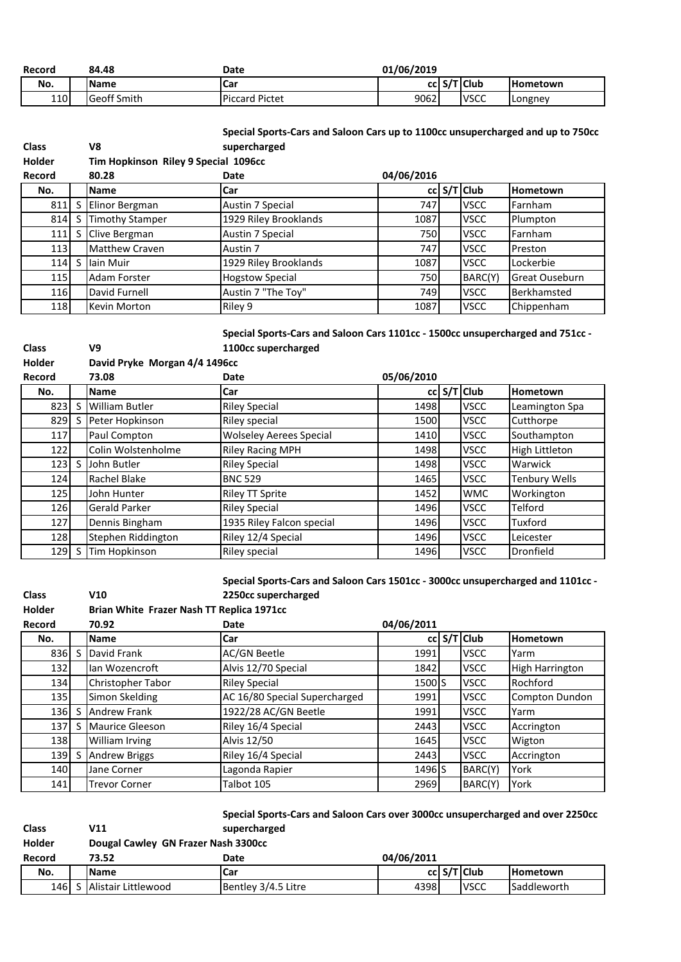| Record     | 84.48              | Date                  | 01/06/2019 |  |             |                 |
|------------|--------------------|-----------------------|------------|--|-------------|-----------------|
| No.        | <b>Name</b>        | <b>ICar</b>           |            |  | cc S/T Club | <b>Hometown</b> |
| <b>110</b> | <b>Geoff Smith</b> | <b>Piccard Pictet</b> | 9062       |  | <b>VSCC</b> | Longney         |

**Class V8**

**Class V9**

**Class V10**

| Special Sports-Cars and Saloon Cars up to 1100cc unsupercharged and up to 750cc |  |
|---------------------------------------------------------------------------------|--|
| supercharged                                                                    |  |

| <b>Holder</b> |   | Tim Hopkinson Riley 9 Special 1096cc |                        |            |  |               |                |
|---------------|---|--------------------------------------|------------------------|------------|--|---------------|----------------|
| Record        |   | 80.28                                | Date                   | 04/06/2016 |  |               |                |
| No.           |   | <b>Name</b>                          | Car                    |            |  | $cc$ S/T Club | Hometown       |
| 811           |   | Elinor Bergman                       | Austin 7 Special       | 747        |  | <b>VSCC</b>   | Farnham        |
| 814           |   | <b>Timothy Stamper</b>               | 1929 Riley Brooklands  | 1087       |  | <b>VSCC</b>   | Plumpton       |
| 111           |   | Clive Bergman                        | Austin 7 Special       | 750        |  | <b>VSCC</b>   | Farnham        |
| 113           |   | <b>Matthew Craven</b>                | Austin 7               | 747        |  | <b>VSCC</b>   | Preston        |
| 114           | S | lain Muir                            | 1929 Riley Brooklands  | 1087       |  | <b>VSCC</b>   | Lockerbie      |
| 115           |   | <b>Adam Forster</b>                  | <b>Hogstow Special</b> | 750        |  | BARC(Y)       | Great Ouseburn |
| 116           |   | David Furnell                        | Austin 7 "The Toy"     | 749        |  | <b>VSCC</b>   | Berkhamsted    |
| 118           |   | Kevin Morton                         | Riley 9                | 1087       |  | <b>VSCC</b>   | Chippenham     |

**Special Sports-Cars and Saloon Cars 1101cc - 1500cc unsupercharged and 751cc - 1100cc supercharged**

| <b>Holder</b> | David Pryke Morgan 4/4 1496cc |                       |                                |            |  |             |                      |
|---------------|-------------------------------|-----------------------|--------------------------------|------------|--|-------------|----------------------|
| Record        |                               | 73.08                 | Date                           | 05/06/2010 |  |             |                      |
| No.           |                               | Name                  | Car                            |            |  | cc S/T Club | Hometown             |
| 823           | S                             | <b>William Butler</b> | <b>Riley Special</b>           | 1498       |  | <b>VSCC</b> | Leamington Spa       |
| 829           | S                             | Peter Hopkinson       | Riley special                  | 1500       |  | <b>VSCC</b> | Cutthorpe            |
| 117           |                               | Paul Compton          | <b>Wolseley Aerees Special</b> | 1410       |  | <b>VSCC</b> | Southampton          |
| 122           |                               | Colin Wolstenholme    | <b>Riley Racing MPH</b>        | 1498       |  | <b>VSCC</b> | High Littleton       |
| 123           | S                             | John Butler           | <b>Riley Special</b>           | 1498       |  | <b>VSCC</b> | Warwick              |
| 124           |                               | Rachel Blake          | <b>BNC 529</b>                 | 1465       |  | <b>VSCC</b> | <b>Tenbury Wells</b> |
| 125           |                               | John Hunter           | <b>Riley TT Sprite</b>         | 1452       |  | <b>WMC</b>  | Workington           |
| 126           |                               | <b>Gerald Parker</b>  | <b>Riley Special</b>           | 1496       |  | <b>VSCC</b> | Telford              |
| 127           |                               | Dennis Bingham        | 1935 Riley Falcon special      | 1496       |  | <b>VSCC</b> | Tuxford              |
| 128           |                               | Stephen Riddington    | Riley 12/4 Special             | 1496       |  | <b>VSCC</b> | Leicester            |
| 129           |                               | Tim Hopkinson         | Riley special                  | 1496       |  | <b>VSCC</b> | Dronfield            |

**Special Sports-Cars and Saloon Cars 1501cc - 3000cc unsupercharged and 1101cc - 2250cc supercharged**

| <b>Holder</b> |    | Brian White Frazer Nash TT Replica 1971cc |                               |            |  |             |                 |
|---------------|----|-------------------------------------------|-------------------------------|------------|--|-------------|-----------------|
| Record        |    | 70.92                                     | Date                          | 04/06/2011 |  |             |                 |
| No.           |    | <b>Name</b>                               | Car                           |            |  | cc S/T Club | <b>Hometown</b> |
| 836           | S  | David Frank                               | <b>AC/GN Beetle</b>           | 1991       |  | <b>VSCC</b> | Yarm            |
| 132           |    | lan Wozencroft                            | Alvis 12/70 Special           | 1842       |  | <b>VSCC</b> | High Harrington |
| 134           |    | Christopher Tabor                         | <b>Riley Special</b>          | 1500 S     |  | <b>VSCC</b> | Rochford        |
| <b>135</b>    |    | Simon Skelding                            | AC 16/80 Special Supercharged | 1991       |  | <b>VSCC</b> | Compton Dundon  |
| 136           |    | <b>Andrew Frank</b>                       | 1922/28 AC/GN Beetle          | 1991       |  | <b>VSCC</b> | Yarm            |
| 137           | S. | <b>Maurice Gleeson</b>                    | Riley 16/4 Special            | 2443       |  | <b>VSCC</b> | Accrington      |
| 138           |    | William Irving                            | Alvis 12/50                   | 1645       |  | <b>VSCC</b> | Wigton          |
| 139           |    | <b>Andrew Briggs</b>                      | Riley 16/4 Special            | 2443       |  | <b>VSCC</b> | Accrington      |
| 140           |    | Jane Corner                               | Lagonda Rapier                | 1496 S     |  | BARC(Y)     | York            |
| 141           |    | <b>Trevor Corner</b>                      | Talbot 105                    | 2969       |  | BARC(Y)     | York            |

|              |                                     | Special Sports-Cars and Saloon Cars over 3000cc unsupercharged and over 2250cc |            |  |               |                 |  |
|--------------|-------------------------------------|--------------------------------------------------------------------------------|------------|--|---------------|-----------------|--|
| <b>Class</b> | V11                                 | supercharged                                                                   |            |  |               |                 |  |
| Holder       | Dougal Cawley GN Frazer Nash 3300cc |                                                                                |            |  |               |                 |  |
| Record       | 73.52                               | Date                                                                           | 04/06/2011 |  |               |                 |  |
| No.          | <b>Name</b>                         | <b>ICar</b>                                                                    |            |  | $cc$ S/T Club | <b>Hometown</b> |  |
| 146          | S Alistair Littlewood               | Bentley 3/4.5 Litre                                                            | 4398       |  | <b>VSCC</b>   | Saddleworth     |  |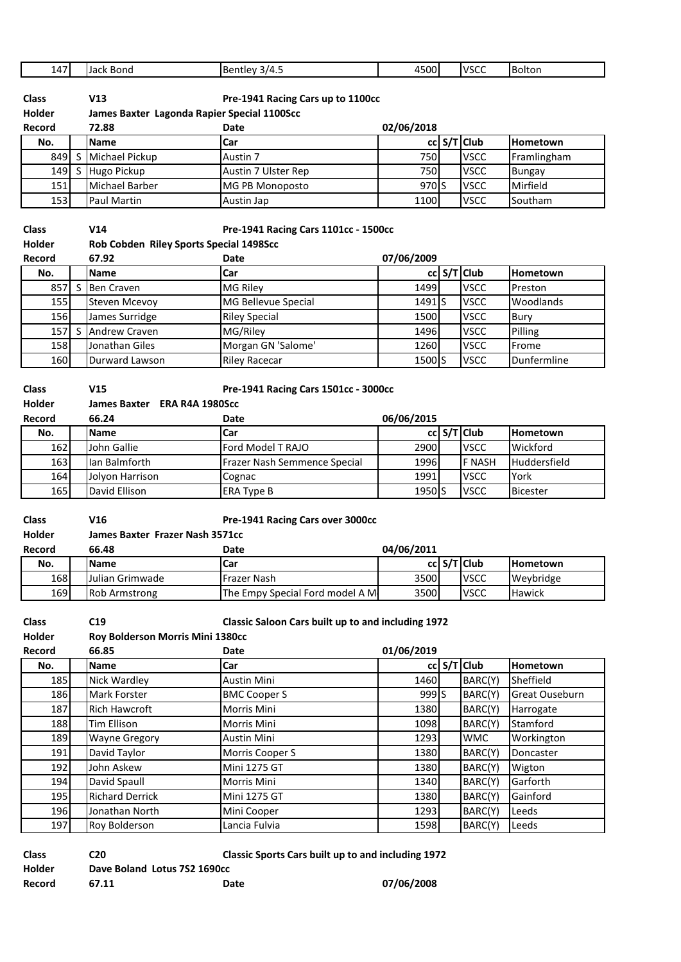| 147           |   | Jack Bond                                   | Bentley 3/4.5                                      | 4500             | <b>VSCC</b>   | Bolton           |
|---------------|---|---------------------------------------------|----------------------------------------------------|------------------|---------------|------------------|
|               |   |                                             |                                                    |                  |               |                  |
| <b>Class</b>  |   | V13                                         | Pre-1941 Racing Cars up to 1100cc                  |                  |               |                  |
| Holder        |   | James Baxter Lagonda Rapier Special 1100Scc |                                                    |                  |               |                  |
| Record        |   | 72.88                                       | Date                                               | 02/06/2018       |               |                  |
| No.           |   | <b>Name</b>                                 | Car                                                |                  | cc S/T Club   | <b>Hometown</b>  |
| 849           | S | Michael Pickup                              | Austin 7                                           | 750              | <b>VSCC</b>   | Framlingham      |
| 149           | S | Hugo Pickup                                 | Austin 7 Ulster Rep                                | 750              | <b>VSCC</b>   | <b>Bungay</b>    |
| 151           |   | Michael Barber                              | MG PB Monoposto                                    | 970 S            | <b>VSCC</b>   | Mirfield         |
| 153           |   | Paul Martin                                 | Austin Jap                                         | 1100             | <b>VSCC</b>   | Southam          |
|               |   |                                             |                                                    |                  |               |                  |
| <b>Class</b>  |   | V14                                         | Pre-1941 Racing Cars 1101cc - 1500cc               |                  |               |                  |
| <b>Holder</b> |   | Rob Cobden Riley Sports Special 1498Scc     |                                                    |                  |               |                  |
| Record        |   | 67.92                                       | Date                                               | 07/06/2009       |               |                  |
| No.           |   | <b>Name</b>                                 | Car                                                |                  | cc S/T Club   | Hometown         |
| 857           | S | <b>Ben Craven</b>                           | MG Riley                                           | 1499             | <b>VSCC</b>   | Preston          |
| 155           |   | <b>Steven Mcevoy</b>                        | MG Bellevue Special                                | 1491S            | <b>VSCC</b>   | Woodlands        |
| 156           |   | James Surridge                              | <b>Riley Special</b>                               | 1500             | <b>VSCC</b>   | Bury             |
| 157           | S | Andrew Craven                               | MG/Riley                                           | 1496             | <b>VSCC</b>   |                  |
|               |   | Jonathan Giles                              |                                                    |                  |               | Pilling<br>Frome |
| 158           |   |                                             | Morgan GN 'Salome'                                 | 1260             | <b>VSCC</b>   |                  |
| 160           |   | Durward Lawson                              | <b>Riley Racecar</b>                               | 1500 S           | <b>VSCC</b>   | Dunfermline      |
|               |   |                                             |                                                    |                  |               |                  |
| <b>Class</b>  |   | V15                                         | Pre-1941 Racing Cars 1501cc - 3000cc               |                  |               |                  |
| Holder        |   | James Baxter ERA R4A 1980Scc                |                                                    |                  |               |                  |
| Record        |   | 66.24                                       | Date                                               | 06/06/2015       |               |                  |
| No.           |   | <b>Name</b>                                 | Car                                                |                  | cc S/T Club   | Hometown         |
| 162           |   | John Gallie                                 | Ford Model T RAJO                                  | 2900             | <b>VSCC</b>   | Wickford         |
| 163           |   | lan Balmforth                               | Frazer Nash Semmence Special                       | 1996             | <b>F NASH</b> | Huddersfield     |
| 164           |   | Jolyon Harrison                             | Cognac                                             | 1991             | <b>VSCC</b>   | York             |
| 165           |   | David Ellison                               | <b>ERA Type B</b>                                  | 1950 S           | <b>VSCC</b>   | <b>Bicester</b>  |
|               |   |                                             |                                                    |                  |               |                  |
| <b>Class</b>  |   | V16                                         | Pre-1941 Racing Cars over 3000cc                   |                  |               |                  |
| <b>Holder</b> |   | James Baxter Frazer Nash 3571cc             |                                                    |                  |               |                  |
| Record        |   | 66.48                                       | Date                                               | 04/06/2011       |               |                  |
| No.           |   | Name                                        | Car                                                |                  | cc S/T Club   | Hometown         |
| 168           |   | Julian Grimwade                             | Frazer Nash                                        | 3500             | <b>VSCC</b>   | Weybridge        |
| 169           |   | Rob Armstrong                               | The Empy Special Ford model A M                    | 3500             | <b>VSCC</b>   | Hawick           |
|               |   |                                             |                                                    |                  |               |                  |
| <b>Class</b>  |   | C19                                         | Classic Saloon Cars built up to and including 1972 |                  |               |                  |
| Holder        |   | Roy Bolderson Morris Mini 1380cc            |                                                    |                  |               |                  |
| Record        |   | 66.85                                       | Date                                               | 01/06/2019       |               |                  |
| No.           |   | Name                                        | Car                                                |                  | cc S/T Club   | Hometown         |
| 185           |   | Nick Wardley                                | Austin Mini                                        | 1460             | BARC(Y)       | Sheffield        |
| 186           |   | Mark Forster                                | <b>BMC Cooper S</b>                                | 999 <sub>S</sub> | BARC(Y)       | Great Ouseburn   |
| 187           |   | Rich Hawcroft                               | Morris Mini                                        | 1380             | BARC(Y)       | Harrogate        |
| 188           |   | <b>Tim Ellison</b>                          | Morris Mini                                        | 1098             | BARC(Y)       | Stamford         |
| 189           |   | <b>Wayne Gregory</b>                        | Austin Mini                                        | 1293             | <b>WMC</b>    | Workington       |
| 191           |   | David Taylor                                | Morris Cooper S                                    | 1380             | BARC(Y)       | Doncaster        |
| 192           |   | John Askew                                  | Mini 1275 GT                                       | 1380             | BARC(Y)       |                  |
|               |   |                                             |                                                    |                  |               | Wigton           |
| 194           |   | David Spaull                                | Morris Mini                                        | 1340             | BARC(Y)       | Garforth         |
| 195           |   | <b>Richard Derrick</b>                      | Mini 1275 GT                                       | 1380             | BARC(Y)       | Gainford         |
| 196           |   | Jonathan North                              | Mini Cooper                                        | 1293             | BARC(Y)       | Leeds            |
| 197           |   | Roy Bolderson                               | Lancia Fulvia                                      | 1598             | BARC(Y)       | Leeds            |
|               |   |                                             |                                                    |                  |               |                  |

| <b>Classic Sports Cars built up to and including 1972</b><br><b>Class</b><br>C20 |                              |      |            |  |  |  |
|----------------------------------------------------------------------------------|------------------------------|------|------------|--|--|--|
| Holder                                                                           | Dave Boland Lotus 7S2 1690cc |      |            |  |  |  |
| Record                                                                           | 67.11                        | Date | 07/06/2008 |  |  |  |